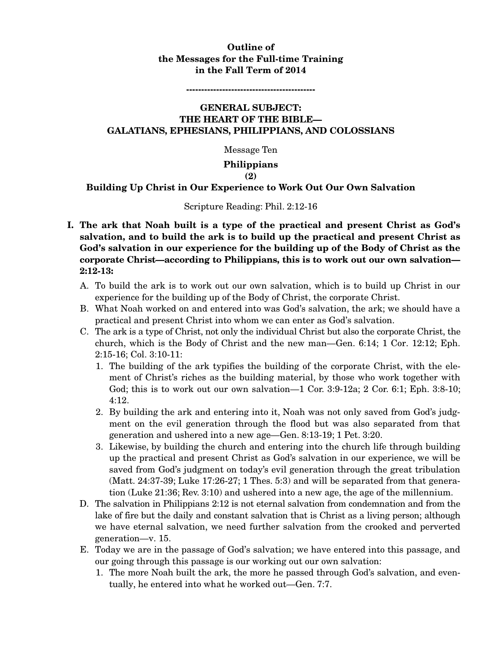## **Outline of the Messages for the Full-time Training in the Fall Term of 2014**

**-------------------------------------------** 

### **GENERAL SUBJECT: THE HEART OF THE BIBLE— GALATIANS, EPHESIANS, PHILIPPIANS, AND COLOSSIANS**

Message Ten

#### **Philippians**

#### **(2)**

#### **Building Up Christ in Our Experience to Work Out Our Own Salvation**

#### Scripture Reading: Phil. 2:12-16

- **I. The ark that Noah built is a type of the practical and present Christ as God's salvation, and to build the ark is to build up the practical and present Christ as God's salvation in our experience for the building up of the Body of Christ as the corporate Christ—according to Philippians, this is to work out our own salvation— 2:12-13:** 
	- A. To build the ark is to work out our own salvation, which is to build up Christ in our experience for the building up of the Body of Christ, the corporate Christ.
	- B. What Noah worked on and entered into was God's salvation, the ark; we should have a practical and present Christ into whom we can enter as God's salvation.
	- C. The ark is a type of Christ, not only the individual Christ but also the corporate Christ, the church, which is the Body of Christ and the new man—Gen. 6:14; 1 Cor. 12:12; Eph. 2:15-16; Col. 3:10-11:
		- 1. The building of the ark typifies the building of the corporate Christ, with the element of Christ's riches as the building material, by those who work together with God; this is to work out our own salvation—1 Cor. 3:9-12a; 2 Cor. 6:1; Eph. 3:8-10; 4:12.
		- 2. By building the ark and entering into it, Noah was not only saved from God's judgment on the evil generation through the flood but was also separated from that generation and ushered into a new age—Gen. 8:13-19; 1 Pet. 3:20.
		- 3. Likewise, by building the church and entering into the church life through building up the practical and present Christ as God's salvation in our experience, we will be saved from God's judgment on today's evil generation through the great tribulation (Matt. 24:37-39; Luke 17:26-27; 1 Thes. 5:3) and will be separated from that generation (Luke 21:36; Rev. 3:10) and ushered into a new age, the age of the millennium.
	- D. The salvation in Philippians 2:12 is not eternal salvation from condemnation and from the lake of fire but the daily and constant salvation that is Christ as a living person; although we have eternal salvation, we need further salvation from the crooked and perverted generation—v. 15.
	- E. Today we are in the passage of God's salvation; we have entered into this passage, and our going through this passage is our working out our own salvation:
		- 1. The more Noah built the ark, the more he passed through God's salvation, and eventually, he entered into what he worked out—Gen. 7:7.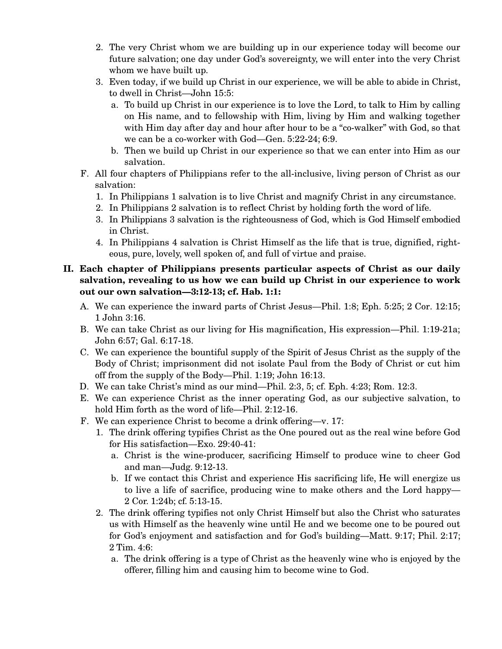- 2. The very Christ whom we are building up in our experience today will become our future salvation; one day under God's sovereignty, we will enter into the very Christ whom we have built up.
- 3. Even today, if we build up Christ in our experience, we will be able to abide in Christ, to dwell in Christ—John 15:5:
	- a. To build up Christ in our experience is to love the Lord, to talk to Him by calling on His name, and to fellowship with Him, living by Him and walking together with Him day after day and hour after hour to be a "co-walker" with God, so that we can be a co-worker with God—Gen. 5:22-24; 6:9.
	- b. Then we build up Christ in our experience so that we can enter into Him as our salvation.
- F. All four chapters of Philippians refer to the all-inclusive, living person of Christ as our salvation:
	- 1. In Philippians 1 salvation is to live Christ and magnify Christ in any circumstance.
	- 2. In Philippians 2 salvation is to reflect Christ by holding forth the word of life.
	- 3. In Philippians 3 salvation is the righteousness of God, which is God Himself embodied in Christ.
	- 4. In Philippians 4 salvation is Christ Himself as the life that is true, dignified, righteous, pure, lovely, well spoken of, and full of virtue and praise.

# **II. Each chapter of Philippians presents particular aspects of Christ as our daily salvation, revealing to us how we can build up Christ in our experience to work out our own salvation—3:12-13; cf. Hab. 1:1:**

- A. We can experience the inward parts of Christ Jesus—Phil. 1:8; Eph. 5:25; 2 Cor. 12:15; 1 John 3:16.
- B. We can take Christ as our living for His magnification, His expression—Phil. 1:19-21a; John 6:57; Gal. 6:17-18.
- C. We can experience the bountiful supply of the Spirit of Jesus Christ as the supply of the Body of Christ; imprisonment did not isolate Paul from the Body of Christ or cut him off from the supply of the Body—Phil. 1:19; John 16:13.
- D. We can take Christ's mind as our mind—Phil. 2:3, 5; cf. Eph. 4:23; Rom. 12:3.
- E. We can experience Christ as the inner operating God, as our subjective salvation, to hold Him forth as the word of life—Phil. 2:12-16.
- F. We can experience Christ to become a drink offering—v. 17:
	- 1. The drink offering typifies Christ as the One poured out as the real wine before God for His satisfaction—Exo. 29:40-41:
		- a. Christ is the wine-producer, sacrificing Himself to produce wine to cheer God and man—Judg. 9:12-13.
		- b. If we contact this Christ and experience His sacrificing life, He will energize us to live a life of sacrifice, producing wine to make others and the Lord happy— 2 Cor. 1:24b; cf. 5:13-15.
	- 2. The drink offering typifies not only Christ Himself but also the Christ who saturates us with Himself as the heavenly wine until He and we become one to be poured out for God's enjoyment and satisfaction and for God's building—Matt. 9:17; Phil. 2:17; 2 Tim. 4:6:
		- a. The drink offering is a type of Christ as the heavenly wine who is enjoyed by the offerer, filling him and causing him to become wine to God.